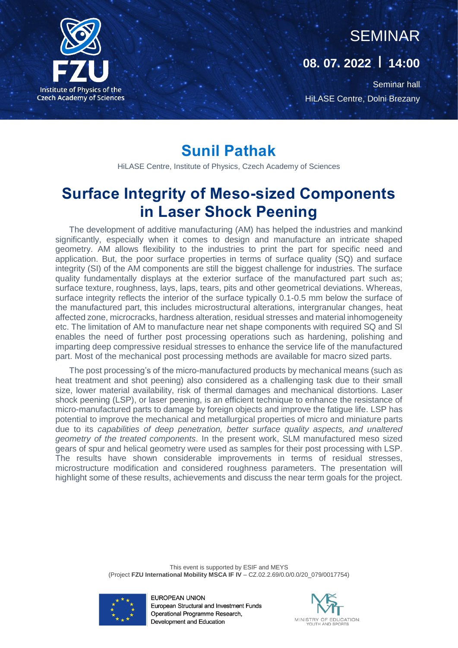

## SEMINAR

#### **08. 07. 2022 | 14:00**

Seminar hall HiLASE Centre, Dolni Brezany

### **Sunil Pathak**

HiLASE Centre, Institute of Physics, Czech Academy of Sciences

## **Surface Integrity of Meso-sized Components in Laser Shock Peening**

The development of additive manufacturing (AM) has helped the industries and mankind significantly, especially when it comes to design and manufacture an intricate shaped geometry. AM allows flexibility to the industries to print the part for specific need and application. But, the poor surface properties in terms of surface quality (SQ) and surface integrity (SI) of the AM components are still the biggest challenge for industries. The surface quality fundamentally displays at the exterior surface of the manufactured part such as; surface texture, roughness, lays, laps, tears, pits and other geometrical deviations. Whereas, surface integrity reflects the interior of the surface typically 0.1-0.5 mm below the surface of the manufactured part, this includes microstructural alterations, intergranular changes, heat affected zone, microcracks, hardness alteration, residual stresses and material inhomogeneity etc. The limitation of AM to manufacture near net shape components with required SQ and SI enables the need of further post processing operations such as hardening, polishing and imparting deep compressive residual stresses to enhance the service life of the manufactured part. Most of the mechanical post processing methods are available for macro sized parts.

The post processing's of the micro-manufactured products by mechanical means (such as heat treatment and shot peening) also considered as a challenging task due to their small size, lower material availability, risk of thermal damages and mechanical distortions. Laser shock peening (LSP), or laser peening, is an efficient technique to enhance the resistance of micro-manufactured parts to damage by foreign objects and improve the fatigue life. LSP has potential to improve the mechanical and metallurgical properties of micro and miniature parts due to its *capabilities of deep penetration, better surface quality aspects, and unaltered geometry of the treated components*. In the present work, SLM manufactured meso sized gears of spur and helical geometry were used as samples for their post processing with LSP. The results have shown considerable improvements in terms of residual stresses, microstructure modification and considered roughness parameters. The presentation will highlight some of these results, achievements and discuss the near term goals for the project.

> This event is supported by ESIF and MEYS (Project **FZU International Mobility MSCA IF IV** – CZ.02.2.69/0.0/0.0/20\_079/0017754)



EUROPEAN UNION European Structural and Investment Funds Operational Programme Research, Development and Education